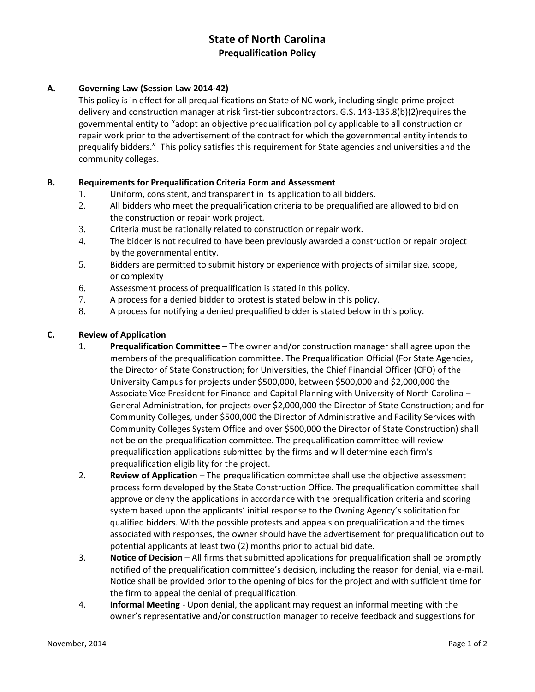# **State of North Carolina Prequalification Policy**

## **A. Governing Law (Session Law 2014-42)**

This policy is in effect for all prequalifications on State of NC work, including single prime project delivery and construction manager at risk first-tier subcontractors. G.S. 143-135.8(b)(2)requires the governmental entity to "adopt an objective prequalification policy applicable to all construction or repair work prior to the advertisement of the contract for which the governmental entity intends to prequalify bidders." This policy satisfies this requirement for State agencies and universities and the community colleges.

### **B. Requirements for Prequalification Criteria Form and Assessment**

- 1. Uniform, consistent, and transparent in its application to all bidders.
- 2. All bidders who meet the prequalification criteria to be prequalified are allowed to bid on the construction or repair work project.
- 3. Criteria must be rationally related to construction or repair work.
- 4. The bidder is not required to have been previously awarded a construction or repair project by the governmental entity.
- 5. Bidders are permitted to submit history or experience with projects of similar size, scope, or complexity
- 6. Assessment process of prequalification is stated in this policy.
- 7. A process for a denied bidder to protest is stated below in this policy.
- 8. A process for notifying a denied prequalified bidder is stated below in this policy.

#### **C. Review of Application**

- 1. **Prequalification Committee**  The owner and/or construction manager shall agree upon the members of the prequalification committee. The Prequalification Official (For State Agencies, the Director of State Construction; for Universities, the Chief Financial Officer (CFO) of the University Campus for projects under \$500,000, between \$500,000 and \$2,000,000 the Associate Vice President for Finance and Capital Planning with University of North Carolina – General Administration, for projects over \$2,000,000 the Director of State Construction; and for Community Colleges, under \$500,000 the Director of Administrative and Facility Services with Community Colleges System Office and over \$500,000 the Director of State Construction) shall not be on the prequalification committee. The prequalification committee will review prequalification applications submitted by the firms and will determine each firm's prequalification eligibility for the project.
- 2. **Review of Application** The prequalification committee shall use the objective assessment process form developed by the State Construction Office. The prequalification committee shall approve or deny the applications in accordance with the prequalification criteria and scoring system based upon the applicants' initial response to the Owning Agency's solicitation for qualified bidders. With the possible protests and appeals on prequalification and the times associated with responses, the owner should have the advertisement for prequalification out to potential applicants at least two (2) months prior to actual bid date.
- 3. **Notice of Decision**  All firms that submitted applications for prequalification shall be promptly notified of the prequalification committee's decision, including the reason for denial, via e-mail. Notice shall be provided prior to the opening of bids for the project and with sufficient time for the firm to appeal the denial of prequalification.
- 4. **Informal Meeting**  Upon denial, the applicant may request an informal meeting with the owner's representative and/or construction manager to receive feedback and suggestions for